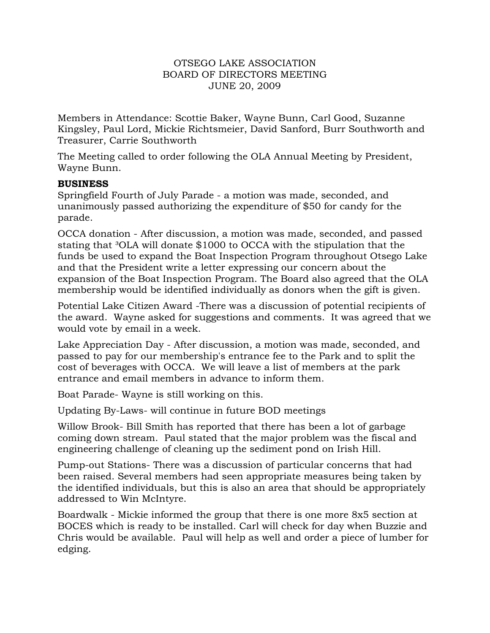## OTSEGO LAKE ASSOCIATION BOARD OF DIRECTORS MEETING JUNE 20, 2009

Members in Attendance: Scottie Baker, Wayne Bunn, Carl Good, Suzanne Kingsley, Paul Lord, Mickie Richtsmeier, David Sanford, Burr Southworth and Treasurer, Carrie Southworth

The Meeting called to order following the OLA Annual Meeting by President, Wayne Bunn.

## **BUSINESS**

Springfield Fourth of July Parade - a motion was made, seconded, and unanimously passed authorizing the expenditure of \$50 for candy for the parade.

OCCA donation - After discussion, a motion was made, seconded, and passed stating that <sup>3</sup>OLA will donate \$1000 to OCCA with the stipulation that the funds be used to expand the Boat Inspection Program throughout Otsego Lake and that the President write a letter expressing our concern about the expansion of the Boat Inspection Program. The Board also agreed that the OLA membership would be identified individually as donors when the gift is given.

Potential Lake Citizen Award -There was a discussion of potential recipients of the award. Wayne asked for suggestions and comments. It was agreed that we would vote by email in a week.

Lake Appreciation Day - After discussion, a motion was made, seconded, and passed to pay for our membership's entrance fee to the Park and to split the cost of beverages with OCCA. We will leave a list of members at the park entrance and email members in advance to inform them.

Boat Parade- Wayne is still working on this.

Updating By-Laws- will continue in future BOD meetings

Willow Brook- Bill Smith has reported that there has been a lot of garbage coming down stream. Paul stated that the major problem was the fiscal and engineering challenge of cleaning up the sediment pond on Irish Hill.

Pump-out Stations- There was a discussion of particular concerns that had been raised. Several members had seen appropriate measures being taken by the identified individuals, but this is also an area that should be appropriately addressed to Win McIntyre.

Boardwalk - Mickie informed the group that there is one more 8x5 section at BOCES which is ready to be installed. Carl will check for day when Buzzie and Chris would be available. Paul will help as well and order a piece of lumber for edging.